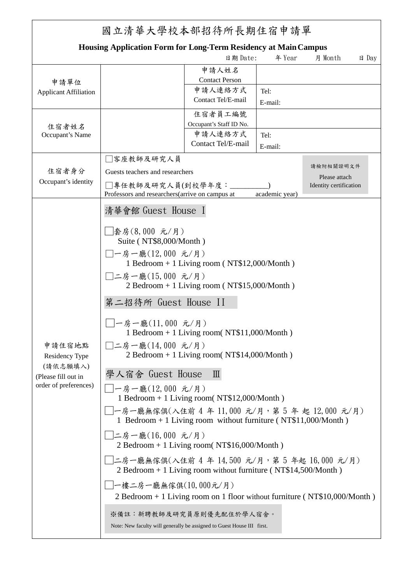| 國立清華大學校本部招待所長期住宿申請單                                                                  |                                                                                                                                                                                                                                                                                                                                                                                                                                                                                                                                                                                                                                                                                                                                                                                                                       |                                |         |         |                 |  |  |  |
|--------------------------------------------------------------------------------------|-----------------------------------------------------------------------------------------------------------------------------------------------------------------------------------------------------------------------------------------------------------------------------------------------------------------------------------------------------------------------------------------------------------------------------------------------------------------------------------------------------------------------------------------------------------------------------------------------------------------------------------------------------------------------------------------------------------------------------------------------------------------------------------------------------------------------|--------------------------------|---------|---------|-----------------|--|--|--|
| <b>Housing Application Form for Long-Term Residency at Main Campus</b>               |                                                                                                                                                                                                                                                                                                                                                                                                                                                                                                                                                                                                                                                                                                                                                                                                                       |                                |         |         |                 |  |  |  |
|                                                                                      |                                                                                                                                                                                                                                                                                                                                                                                                                                                                                                                                                                                                                                                                                                                                                                                                                       | 日期 Date:                       | 年 Year  | 月 Month | $\boxminus$ Day |  |  |  |
| 申請單位<br><b>Applicant Affiliation</b>                                                 |                                                                                                                                                                                                                                                                                                                                                                                                                                                                                                                                                                                                                                                                                                                                                                                                                       | 申請人姓名<br><b>Contact Person</b> |         |         |                 |  |  |  |
|                                                                                      |                                                                                                                                                                                                                                                                                                                                                                                                                                                                                                                                                                                                                                                                                                                                                                                                                       | 申請人連絡方式<br>Contact Tel/E-mail  | Tel:    |         |                 |  |  |  |
| 住宿者姓名                                                                                |                                                                                                                                                                                                                                                                                                                                                                                                                                                                                                                                                                                                                                                                                                                                                                                                                       | 住宿者員工編號                        | E-mail: |         |                 |  |  |  |
|                                                                                      |                                                                                                                                                                                                                                                                                                                                                                                                                                                                                                                                                                                                                                                                                                                                                                                                                       | Occupant's Staff ID No.        |         |         |                 |  |  |  |
| Occupant's Name                                                                      |                                                                                                                                                                                                                                                                                                                                                                                                                                                                                                                                                                                                                                                                                                                                                                                                                       | 申請人連絡方式                        | Tel:    |         |                 |  |  |  |
|                                                                                      |                                                                                                                                                                                                                                                                                                                                                                                                                                                                                                                                                                                                                                                                                                                                                                                                                       | Contact Tel/E-mail             | E-mail: |         |                 |  |  |  |
| 住宿者身分<br>Occupant's identity                                                         | □客座教師及研究人員                                                                                                                                                                                                                                                                                                                                                                                                                                                                                                                                                                                                                                                                                                                                                                                                            |                                |         |         |                 |  |  |  |
|                                                                                      | 請檢附相關證明文件<br>Guests teachers and researchers                                                                                                                                                                                                                                                                                                                                                                                                                                                                                                                                                                                                                                                                                                                                                                          |                                |         |         |                 |  |  |  |
|                                                                                      | Please attach<br>□專任教師及研究人員(到校學年度:___<br>Identity certification                                                                                                                                                                                                                                                                                                                                                                                                                                                                                                                                                                                                                                                                                                                                                       |                                |         |         |                 |  |  |  |
|                                                                                      | Professors and researchers(arrive on campus at<br>academic year)                                                                                                                                                                                                                                                                                                                                                                                                                                                                                                                                                                                                                                                                                                                                                      |                                |         |         |                 |  |  |  |
| 申請住宿地點<br>Residency Type<br>(請依志願填入)<br>(Please fill out in<br>order of preferences) | 清華會館 Guest House I<br>□套房(8,000 元/月)<br>Suite (NT\$8,000/Month)<br>□一房一廳(12,000 元/月)<br>1 Bedroom + 1 Living room ( $NT$12,000/M$ onth)<br>□二房一廳(15,000 元/月)<br>2 Bedroom + 1 Living room ( $NT$15,000/M$ onth)<br>第二招待所 Guest House II<br>□一房一廳(11,000 元/月)<br>1 Bedroom + 1 Living room(NT\$11,000/Month)<br>□二房一廳(14,000 元/月)<br>2 Bedroom + 1 Living room( $NT$14,000/Month$ )<br>學人宿舍 Guest House<br>$\mathbb{I}$<br>□一房一廳(12,000 元/月)<br>1 Bedroom + 1 Living room( $NT$12,000/M$ onth)<br>_ 一房一廳無傢俱(入住前 4 年 11,000 元/月,第 5 年 起 12,000 元/月)<br>1 Bedroom + 1 Living room without furniture ( $NT$11,000/Month$ )<br>□二房一廳(16,000 元/月)<br>2 Bedroom + 1 Living room( $NT$16,000/M$ onth)<br>_ 二房一廳無傢俱(入住前 4 年 14,500 元∕月,第 5 年起 16,000 元∕月)<br>2 Bedroom + 1 Living room without furniture ( $NT$14,500/Month$ ) |                                |         |         |                 |  |  |  |
|                                                                                      | _├樓二房一廳無傢俱(10,000元/月)                                                                                                                                                                                                                                                                                                                                                                                                                                                                                                                                                                                                                                                                                                                                                                                                 |                                |         |         |                 |  |  |  |
|                                                                                      | 2 Bedroom + 1 Living room on 1 floor without furniture ( $NT$10,000/Month$ )                                                                                                                                                                                                                                                                                                                                                                                                                                                                                                                                                                                                                                                                                                                                          |                                |         |         |                 |  |  |  |
|                                                                                      | ※備註:新聘教師及研究員原則優先配住於學人宿舍。<br>Note: New faculty will generally be assigned to Guest House III first.                                                                                                                                                                                                                                                                                                                                                                                                                                                                                                                                                                                                                                                                                                                    |                                |         |         |                 |  |  |  |